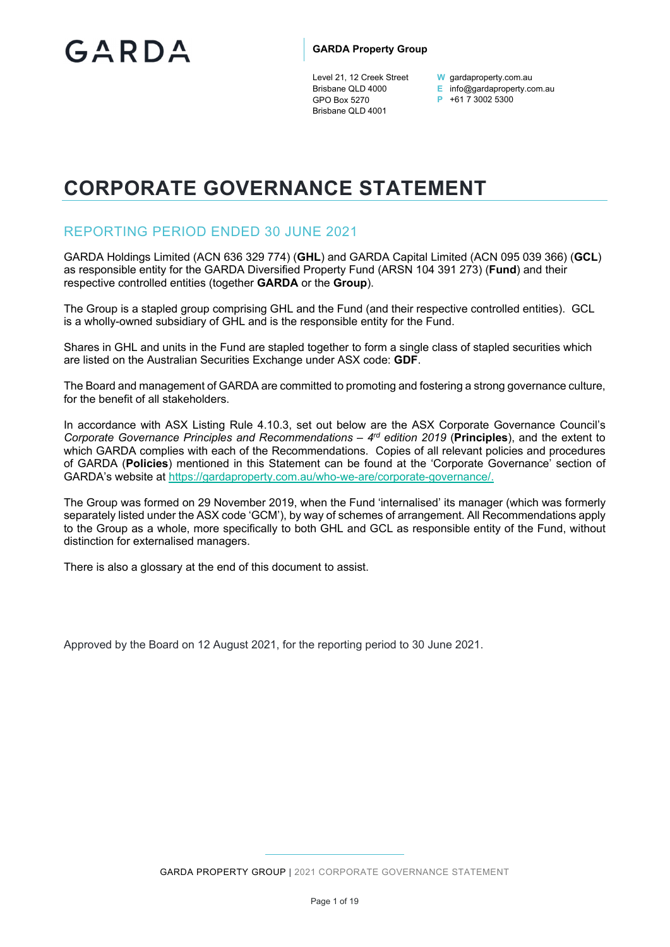Level 21, 12 Creek Street Brisbane QLD 4000 GPO Box 5270 Brisbane QLD 4001

**W** gardaproperty.com.au

**E** info@gardaproperty.com.au

**P** +61 7 3002 5300

# **CORPORATE GOVERNANCE STATEMENT**

# REPORTING PERIOD ENDED 30 JUNE 2021

GARDA Holdings Limited (ACN 636 329 774) (**GHL**) and GARDA Capital Limited (ACN 095 039 366) (**GCL**) as responsible entity for the GARDA Diversified Property Fund (ARSN 104 391 273) (**Fund**) and their respective controlled entities (together **GARDA** or the **Group**).

The Group is a stapled group comprising GHL and the Fund (and their respective controlled entities). GCL is a wholly-owned subsidiary of GHL and is the responsible entity for the Fund.

Shares in GHL and units in the Fund are stapled together to form a single class of stapled securities which are listed on the Australian Securities Exchange under ASX code: **GDF**.

The Board and management of GARDA are committed to promoting and fostering a strong governance culture, for the benefit of all stakeholders.

In accordance with ASX Listing Rule 4.10.3, set out below are the ASX Corporate Governance Council's *Corporate Governance Principles and Recommendations – 4rd edition 2019* (**Principles**), and the extent to which GARDA complies with each of the Recommendations. Copies of all relevant policies and procedures of GARDA (**Policies**) mentioned in this Statement can be found at the 'Corporate Governance' section of GARDA's website at https://gardaproperty.com.au/who-we-are/corporate-governance/.

The Group was formed on 29 November 2019, when the Fund 'internalised' its manager (which was formerly separately listed under the ASX code 'GCM'), by way of schemes of arrangement. All Recommendations apply to the Group as a whole, more specifically to both GHL and GCL as responsible entity of the Fund, without distinction for externalised managers.

There is also a glossary at the end of this document to assist.

Approved by the Board on 12 August 2021, for the reporting period to 30 June 2021.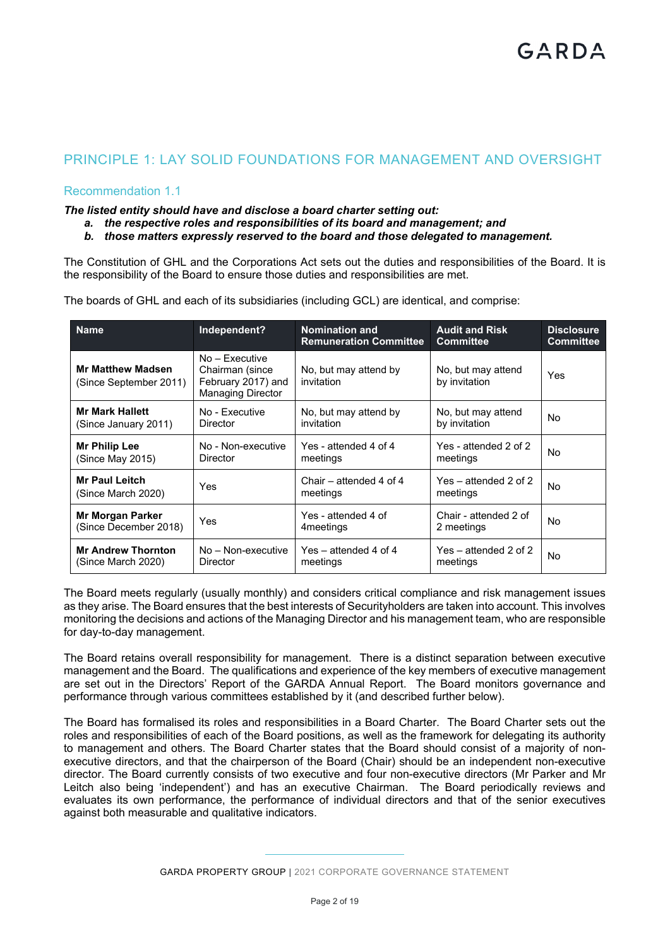# PRINCIPLE 1: LAY SOLID FOUNDATIONS FOR MANAGEMENT AND OVERSIGHT

# Recommendation 1.1

*The listed entity should have and disclose a board charter setting out:* 

- *a. the respective roles and responsibilities of its board and management; and*
- *b. those matters expressly reserved to the board and those delegated to management.*

The Constitution of GHL and the Corporations Act sets out the duties and responsibilities of the Board. It is the responsibility of the Board to ensure those duties and responsibilities are met.

| <b>Name</b>                                        | Independent?                                                                          | <b>Nomination and</b><br><b>Remuneration Committee</b> | <b>Audit and Risk</b><br><b>Committee</b> | <b>Disclosure</b><br><b>Committee</b> |
|----------------------------------------------------|---------------------------------------------------------------------------------------|--------------------------------------------------------|-------------------------------------------|---------------------------------------|
| <b>Mr Matthew Madsen</b><br>(Since September 2011) | $No - Factorive$<br>Chairman (since<br>February 2017) and<br><b>Managing Director</b> | No, but may attend by<br>invitation                    | No, but may attend<br>by invitation       | Yes                                   |
| <b>Mr Mark Hallett</b><br>(Since January 2011)     | No - Executive<br><b>Director</b>                                                     | No, but may attend by<br>invitation                    | No, but may attend<br>by invitation       | No                                    |
| Mr Philip Lee<br>(Since May 2015)                  | No - Non-executive<br><b>Director</b>                                                 | Yes - attended 4 of 4<br>meetings                      | Yes - attended 2 of 2<br>meetings         | No                                    |
| <b>Mr Paul Leitch</b><br>(Since March 2020)        | Yes                                                                                   | Chair – attended 4 of 4<br>meetings                    | Yes – attended 2 of 2<br>meetings         | No                                    |
| <b>Mr Morgan Parker</b><br>(Since December 2018)   | Yes                                                                                   | Yes - attended 4 of<br>4 meetings                      | Chair - attended 2 of<br>2 meetings       | No                                    |
| <b>Mr Andrew Thornton</b><br>(Since March 2020)    | No - Non-executive<br><b>Director</b>                                                 | $Yes - attended 4 of 4$<br>meetings                    | Yes – attended 2 of 2<br>meetings         | No                                    |

The boards of GHL and each of its subsidiaries (including GCL) are identical, and comprise:

The Board meets regularly (usually monthly) and considers critical compliance and risk management issues as they arise. The Board ensures that the best interests of Securityholders are taken into account. This involves monitoring the decisions and actions of the Managing Director and his management team, who are responsible for day-to-day management.

The Board retains overall responsibility for management. There is a distinct separation between executive management and the Board. The qualifications and experience of the key members of executive management are set out in the Directors' Report of the GARDA Annual Report. The Board monitors governance and performance through various committees established by it (and described further below).

The Board has formalised its roles and responsibilities in a Board Charter. The Board Charter sets out the roles and responsibilities of each of the Board positions, as well as the framework for delegating its authority to management and others. The Board Charter states that the Board should consist of a majority of nonexecutive directors, and that the chairperson of the Board (Chair) should be an independent non-executive director. The Board currently consists of two executive and four non-executive directors (Mr Parker and Mr Leitch also being 'independent') and has an executive Chairman. The Board periodically reviews and evaluates its own performance, the performance of individual directors and that of the senior executives against both measurable and qualitative indicators.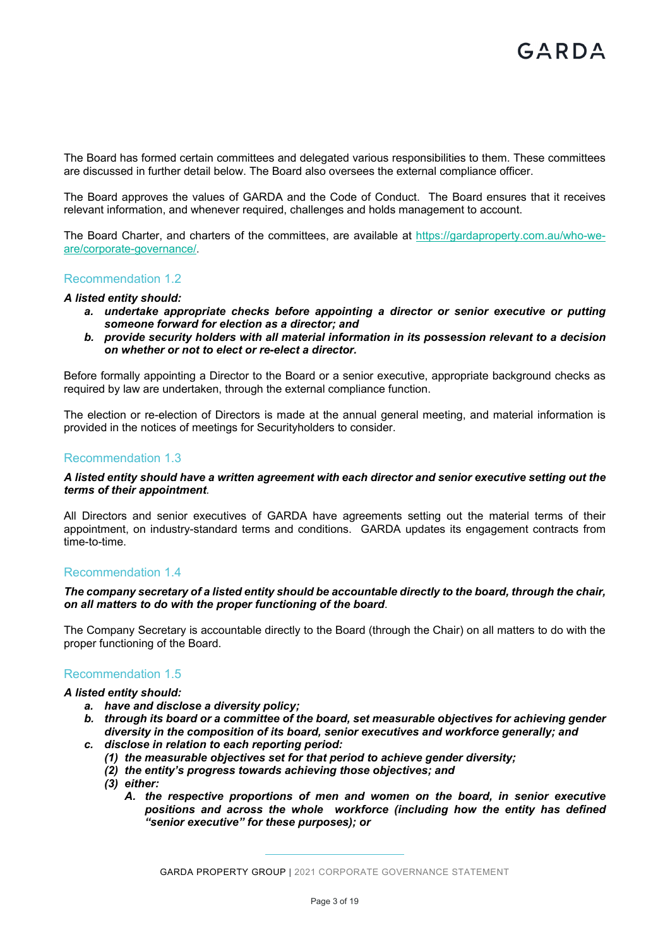The Board has formed certain committees and delegated various responsibilities to them. These committees are discussed in further detail below. The Board also oversees the external compliance officer.

The Board approves the values of GARDA and the Code of Conduct. The Board ensures that it receives relevant information, and whenever required, challenges and holds management to account.

The Board Charter, and charters of the committees, are available at https://gardaproperty.com.au/who-weare/corporate-governance/.

# Recommendation 1.2

#### *A listed entity should:*

- *a. undertake appropriate checks before appointing a director or senior executive or putting someone forward for election as a director; and*
- *b. provide security holders with all material information in its possession relevant to a decision on whether or not to elect or re-elect a director.*

Before formally appointing a Director to the Board or a senior executive, appropriate background checks as required by law are undertaken, through the external compliance function.

The election or re-election of Directors is made at the annual general meeting, and material information is provided in the notices of meetings for Securityholders to consider.

#### Recommendation 1.3

#### *A listed entity should have a written agreement with each director and senior executive setting out the terms of their appointment.*

All Directors and senior executives of GARDA have agreements setting out the material terms of their appointment, on industry-standard terms and conditions. GARDA updates its engagement contracts from time-to-time.

#### Recommendation 1.4

## *The company secretary of a listed entity should be accountable directly to the board, through the chair, on all matters to do with the proper functioning of the board*.

The Company Secretary is accountable directly to the Board (through the Chair) on all matters to do with the proper functioning of the Board.

## Recommendation 1.5

## *A listed entity should:*

- *a. have and disclose a diversity policy;*
- *b. through its board or a committee of the board, set measurable objectives for achieving gender diversity in the composition of its board, senior executives and workforce generally; and*
- *c. disclose in relation to each reporting period:* 
	- *(1) the measurable objectives set for that period to achieve gender diversity;*
	- *(2) the entity's progress towards achieving those objectives; and*
	- *(3) either:* 
		- *A. the respective proportions of men and women on the board, in senior executive positions and across the whole workforce (including how the entity has defined "senior executive" for these purposes); or*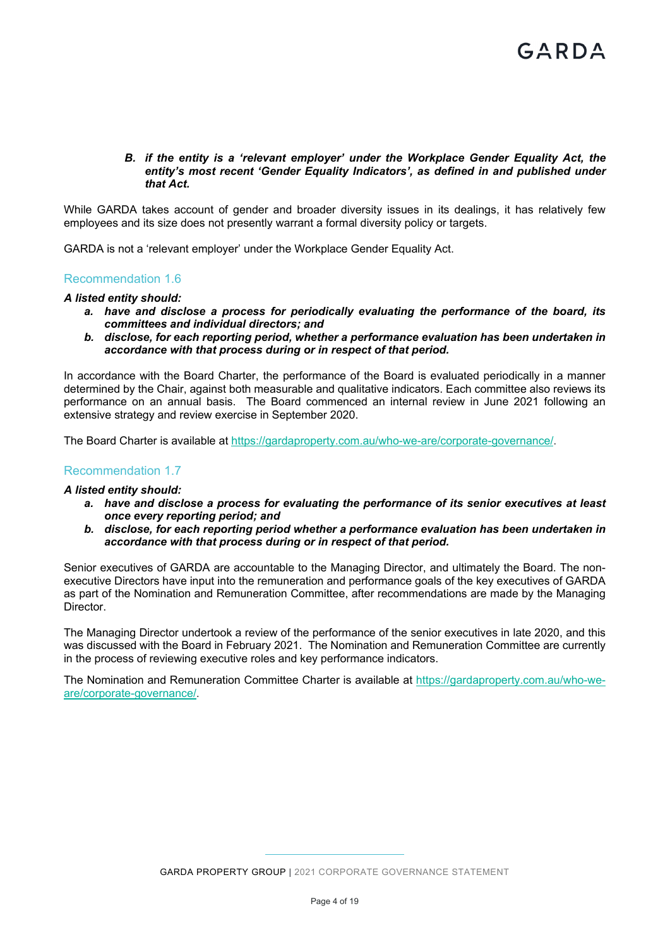## *B. if the entity is a 'relevant employer' under the Workplace Gender Equality Act, the entity's most recent 'Gender Equality Indicators', as defined in and published under that Act.*

While GARDA takes account of gender and broader diversity issues in its dealings, it has relatively few employees and its size does not presently warrant a formal diversity policy or targets.

GARDA is not a 'relevant employer' under the Workplace Gender Equality Act.

# Recommendation 1.6

#### *A listed entity should:*

- *a. have and disclose a process for periodically evaluating the performance of the board, its committees and individual directors; and*
- *b. disclose, for each reporting period, whether a performance evaluation has been undertaken in accordance with that process during or in respect of that period.*

In accordance with the Board Charter, the performance of the Board is evaluated periodically in a manner determined by the Chair, against both measurable and qualitative indicators. Each committee also reviews its performance on an annual basis. The Board commenced an internal review in June 2021 following an extensive strategy and review exercise in September 2020.

The Board Charter is available at https://gardaproperty.com.au/who-we-are/corporate-governance/.

# Recommendation 1.7

#### *A listed entity should:*

- *a. have and disclose a process for evaluating the performance of its senior executives at least once every reporting period; and*
- *b. disclose, for each reporting period whether a performance evaluation has been undertaken in accordance with that process during or in respect of that period.*

Senior executives of GARDA are accountable to the Managing Director, and ultimately the Board. The nonexecutive Directors have input into the remuneration and performance goals of the key executives of GARDA as part of the Nomination and Remuneration Committee, after recommendations are made by the Managing Director.

The Managing Director undertook a review of the performance of the senior executives in late 2020, and this was discussed with the Board in February 2021. The Nomination and Remuneration Committee are currently in the process of reviewing executive roles and key performance indicators.

The Nomination and Remuneration Committee Charter is available at https://gardaproperty.com.au/who-weare/corporate-governance/.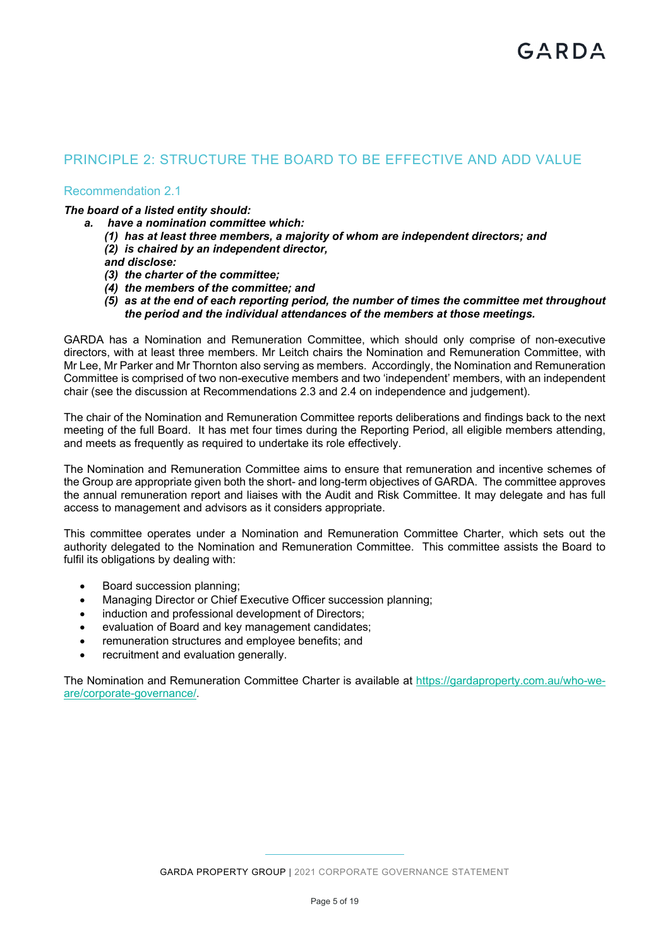# PRINCIPLE 2: STRUCTURE THE BOARD TO BE EFFECTIVE AND ADD VALUE

# Recommendation 2.1

# *The board of a listed entity should:*

- *a. have a nomination committee which:* 
	- *(1) has at least three members, a majority of whom are independent directors; and*
	- *(2) is chaired by an independent director,*

*and disclose:* 

- *(3) the charter of the committee;*
- *(4) the members of the committee; and*
- *(5) as at the end of each reporting period, the number of times the committee met throughout the period and the individual attendances of the members at those meetings.*

GARDA has a Nomination and Remuneration Committee, which should only comprise of non-executive directors, with at least three members. Mr Leitch chairs the Nomination and Remuneration Committee, with Mr Lee, Mr Parker and Mr Thornton also serving as members. Accordingly, the Nomination and Remuneration Committee is comprised of two non-executive members and two 'independent' members, with an independent chair (see the discussion at Recommendations 2.3 and 2.4 on independence and judgement).

The chair of the Nomination and Remuneration Committee reports deliberations and findings back to the next meeting of the full Board. It has met four times during the Reporting Period, all eligible members attending, and meets as frequently as required to undertake its role effectively.

The Nomination and Remuneration Committee aims to ensure that remuneration and incentive schemes of the Group are appropriate given both the short- and long-term objectives of GARDA. The committee approves the annual remuneration report and liaises with the Audit and Risk Committee. It may delegate and has full access to management and advisors as it considers appropriate.

This committee operates under a Nomination and Remuneration Committee Charter, which sets out the authority delegated to the Nomination and Remuneration Committee. This committee assists the Board to fulfil its obligations by dealing with:

- Board succession planning;
- Managing Director or Chief Executive Officer succession planning;
- induction and professional development of Directors:
- evaluation of Board and key management candidates;
- remuneration structures and employee benefits; and
- recruitment and evaluation generally.

The Nomination and Remuneration Committee Charter is available at https://gardaproperty.com.au/who-weare/corporate-governance/.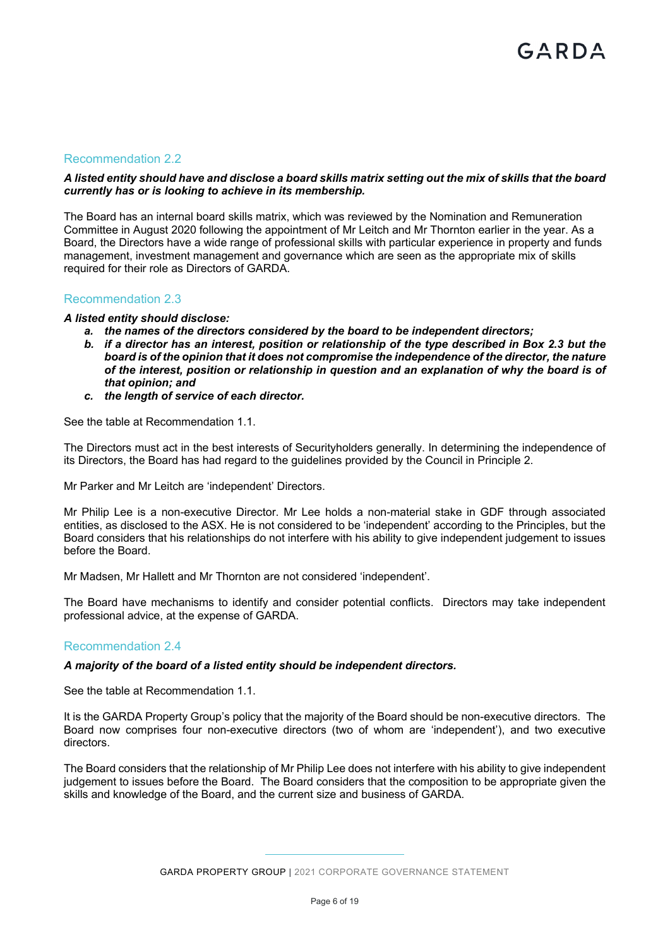# Recommendation 2.2

## *A listed entity should have and disclose a board skills matrix setting out the mix of skills that the board currently has or is looking to achieve in its membership.*

The Board has an internal board skills matrix, which was reviewed by the Nomination and Remuneration Committee in August 2020 following the appointment of Mr Leitch and Mr Thornton earlier in the year. As a Board, the Directors have a wide range of professional skills with particular experience in property and funds management, investment management and governance which are seen as the appropriate mix of skills required for their role as Directors of GARDA.

#### Recommendation 2.3

#### *A listed entity should disclose:*

- *a. the names of the directors considered by the board to be independent directors;*
- *b. if a director has an interest, position or relationship of the type described in Box 2.3 but the board is of the opinion that it does not compromise the independence of the director, the nature of the interest, position or relationship in question and an explanation of why the board is of that opinion; and*
- *c. the length of service of each director.*

See the table at Recommendation 1.1.

The Directors must act in the best interests of Securityholders generally. In determining the independence of its Directors, the Board has had regard to the guidelines provided by the Council in Principle 2.

Mr Parker and Mr Leitch are 'independent' Directors.

Mr Philip Lee is a non-executive Director. Mr Lee holds a non-material stake in GDF through associated entities, as disclosed to the ASX. He is not considered to be 'independent' according to the Principles, but the Board considers that his relationships do not interfere with his ability to give independent judgement to issues before the Board.

Mr Madsen, Mr Hallett and Mr Thornton are not considered 'independent'.

The Board have mechanisms to identify and consider potential conflicts. Directors may take independent professional advice, at the expense of GARDA.

#### Recommendation 2.4

#### *A majority of the board of a listed entity should be independent directors.*

See the table at Recommendation 1.1.

It is the GARDA Property Group's policy that the majority of the Board should be non-executive directors. The Board now comprises four non-executive directors (two of whom are 'independent'), and two executive directors.

The Board considers that the relationship of Mr Philip Lee does not interfere with his ability to give independent judgement to issues before the Board. The Board considers that the composition to be appropriate given the skills and knowledge of the Board, and the current size and business of GARDA.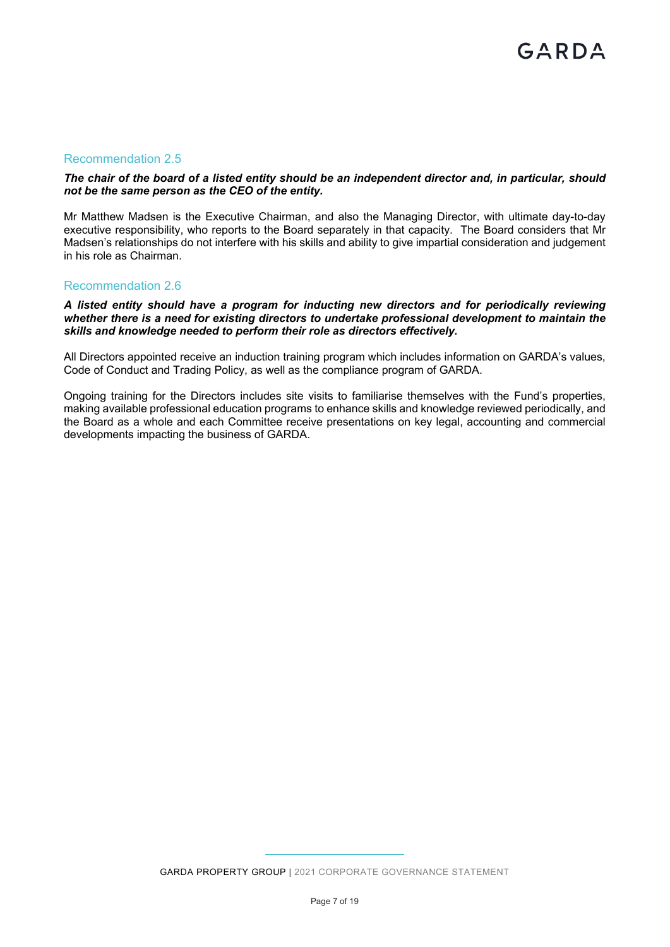# Recommendation 2.5

## *The chair of the board of a listed entity should be an independent director and, in particular, should not be the same person as the CEO of the entity.*

Mr Matthew Madsen is the Executive Chairman, and also the Managing Director, with ultimate day-to-day executive responsibility, who reports to the Board separately in that capacity. The Board considers that Mr Madsen's relationships do not interfere with his skills and ability to give impartial consideration and judgement in his role as Chairman.

#### Recommendation 2.6

#### *A listed entity should have a program for inducting new directors and for periodically reviewing whether there is a need for existing directors to undertake professional development to maintain the skills and knowledge needed to perform their role as directors effectively.*

All Directors appointed receive an induction training program which includes information on GARDA's values, Code of Conduct and Trading Policy, as well as the compliance program of GARDA.

Ongoing training for the Directors includes site visits to familiarise themselves with the Fund's properties, making available professional education programs to enhance skills and knowledge reviewed periodically, and the Board as a whole and each Committee receive presentations on key legal, accounting and commercial developments impacting the business of GARDA.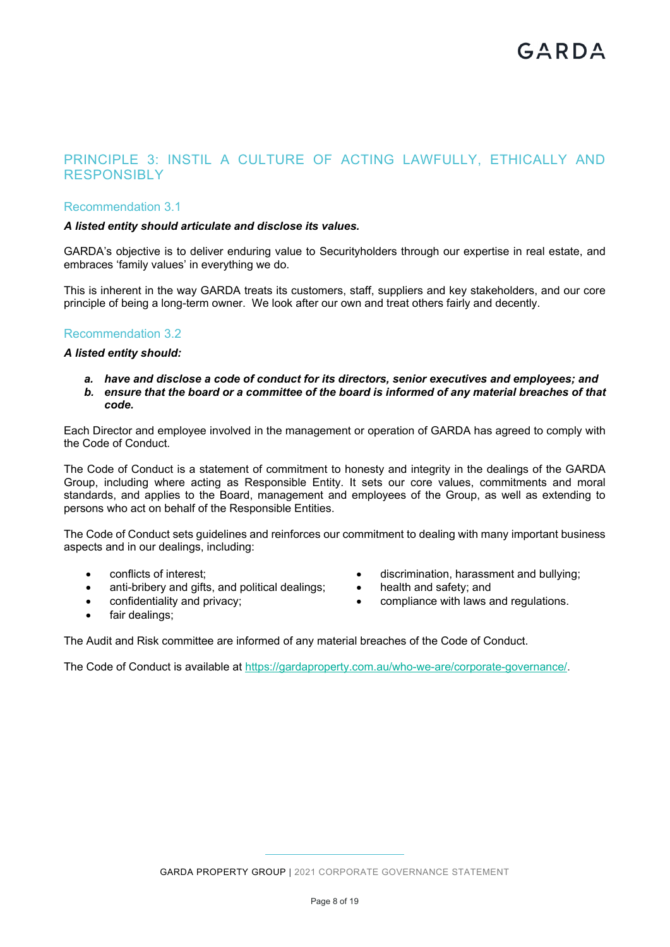# PRINCIPLE 3: INSTIL A CULTURE OF ACTING LAWFULLY, ETHICALLY AND RESPONSIBLY

# Recommendation 3.1

# *A listed entity should articulate and disclose its values.*

GARDA's objective is to deliver enduring value to Securityholders through our expertise in real estate, and embraces 'family values' in everything we do.

This is inherent in the way GARDA treats its customers, staff, suppliers and key stakeholders, and our core principle of being a long-term owner. We look after our own and treat others fairly and decently.

# Recommendation 3.2

# *A listed entity should:*

*a. have and disclose a code of conduct for its directors, senior executives and employees; and b. ensure that the board or a committee of the board is informed of any material breaches of that code.* 

Each Director and employee involved in the management or operation of GARDA has agreed to comply with the Code of Conduct.

The Code of Conduct is a statement of commitment to honesty and integrity in the dealings of the GARDA Group, including where acting as Responsible Entity. It sets our core values, commitments and moral standards, and applies to the Board, management and employees of the Group, as well as extending to persons who act on behalf of the Responsible Entities.

The Code of Conduct sets guidelines and reinforces our commitment to dealing with many important business aspects and in our dealings, including:

- conflicts of interest;
- anti-bribery and gifts, and political dealings;
- confidentiality and privacy;
- fair dealings;
- discrimination, harassment and bullying;
- health and safety; and
- compliance with laws and regulations.

The Audit and Risk committee are informed of any material breaches of the Code of Conduct.

The Code of Conduct is available at https://gardaproperty.com.au/who-we-are/corporate-governance/.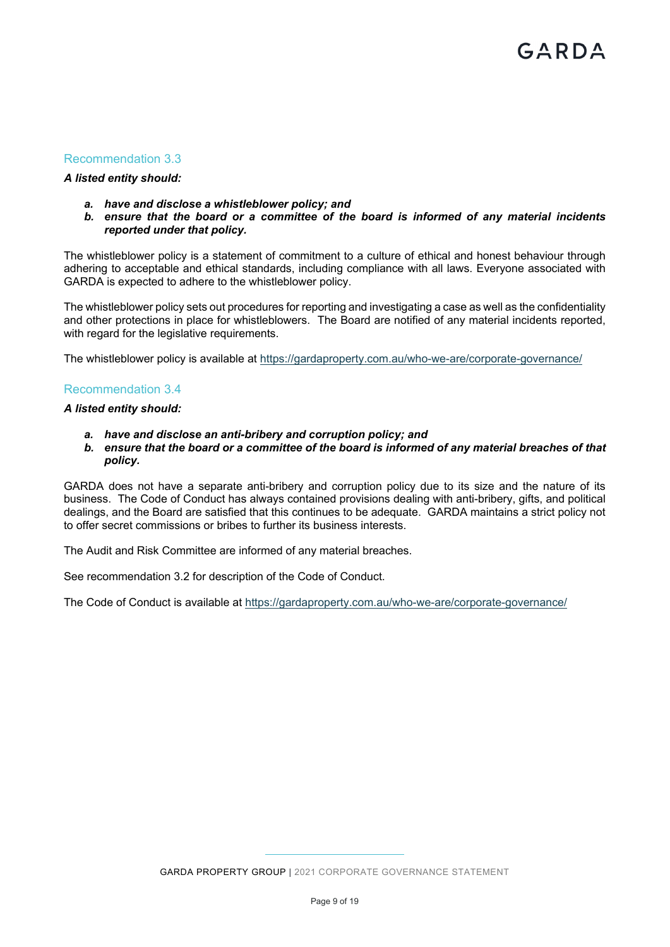# Recommendation 3.3

# *A listed entity should:*

- *a. have and disclose a whistleblower policy; and*
- *b. ensure that the board or a committee of the board is informed of any material incidents reported under that policy.*

The whistleblower policy is a statement of commitment to a culture of ethical and honest behaviour through adhering to acceptable and ethical standards, including compliance with all laws. Everyone associated with GARDA is expected to adhere to the whistleblower policy.

The whistleblower policy sets out procedures for reporting and investigating a case as well as the confidentiality and other protections in place for whistleblowers. The Board are notified of any material incidents reported, with regard for the legislative requirements.

The whistleblower policy is available at https://gardaproperty.com.au/who-we-are/corporate-governance/

# Recommendation 3.4

## *A listed entity should:*

- *a. have and disclose an anti-bribery and corruption policy; and*
- *b. ensure that the board or a committee of the board is informed of any material breaches of that policy.*

GARDA does not have a separate anti-bribery and corruption policy due to its size and the nature of its business. The Code of Conduct has always contained provisions dealing with anti-bribery, gifts, and political dealings, and the Board are satisfied that this continues to be adequate. GARDA maintains a strict policy not to offer secret commissions or bribes to further its business interests.

The Audit and Risk Committee are informed of any material breaches.

See recommendation 3.2 for description of the Code of Conduct.

The Code of Conduct is available at https://gardaproperty.com.au/who-we-are/corporate-governance/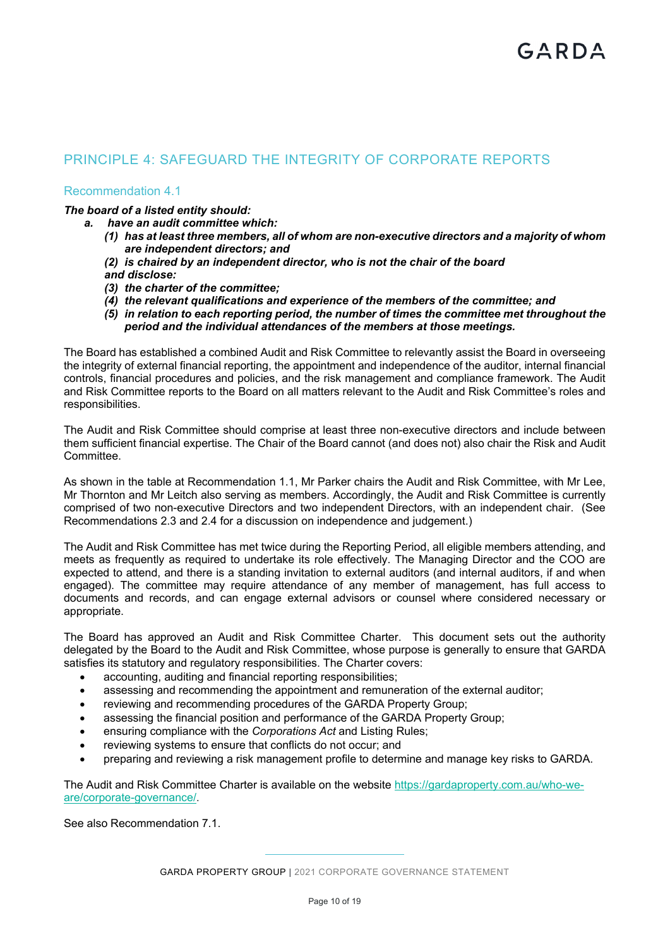# PRINCIPLE 4: SAFEGUARD THE INTEGRITY OF CORPORATE REPORTS

Recommendation 4.1

*The board of a listed entity should:* 

- *a. have an audit committee which:* 
	- *(1) has at least three members, all of whom are non-executive directors and a majority of whom are independent directors; and*
	- *(2) is chaired by an independent director, who is not the chair of the board*

*and disclose:* 

- *(3) the charter of the committee;*
- *(4) the relevant qualifications and experience of the members of the committee; and*
- *(5) in relation to each reporting period, the number of times the committee met throughout the period and the individual attendances of the members at those meetings.*

The Board has established a combined Audit and Risk Committee to relevantly assist the Board in overseeing the integrity of external financial reporting, the appointment and independence of the auditor, internal financial controls, financial procedures and policies, and the risk management and compliance framework. The Audit and Risk Committee reports to the Board on all matters relevant to the Audit and Risk Committee's roles and responsibilities.

The Audit and Risk Committee should comprise at least three non-executive directors and include between them sufficient financial expertise. The Chair of the Board cannot (and does not) also chair the Risk and Audit Committee.

As shown in the table at Recommendation 1.1, Mr Parker chairs the Audit and Risk Committee, with Mr Lee, Mr Thornton and Mr Leitch also serving as members. Accordingly, the Audit and Risk Committee is currently comprised of two non-executive Directors and two independent Directors, with an independent chair. (See Recommendations 2.3 and 2.4 for a discussion on independence and judgement.)

The Audit and Risk Committee has met twice during the Reporting Period, all eligible members attending, and meets as frequently as required to undertake its role effectively. The Managing Director and the COO are expected to attend, and there is a standing invitation to external auditors (and internal auditors, if and when engaged). The committee may require attendance of any member of management, has full access to documents and records, and can engage external advisors or counsel where considered necessary or appropriate.

The Board has approved an Audit and Risk Committee Charter. This document sets out the authority delegated by the Board to the Audit and Risk Committee, whose purpose is generally to ensure that GARDA satisfies its statutory and regulatory responsibilities. The Charter covers:

- accounting, auditing and financial reporting responsibilities;
- assessing and recommending the appointment and remuneration of the external auditor;
- reviewing and recommending procedures of the GARDA Property Group;
- assessing the financial position and performance of the GARDA Property Group;
- ensuring compliance with the *Corporations Act* and Listing Rules;
- reviewing systems to ensure that conflicts do not occur; and
- preparing and reviewing a risk management profile to determine and manage key risks to GARDA.

The Audit and Risk Committee Charter is available on the website https://gardaproperty.com.au/who-weare/corporate-governance/.

See also Recommendation 7.1.

GARDA PROPERTY GROUP | 2021 CORPORATE GOVERNANCE STATEMENT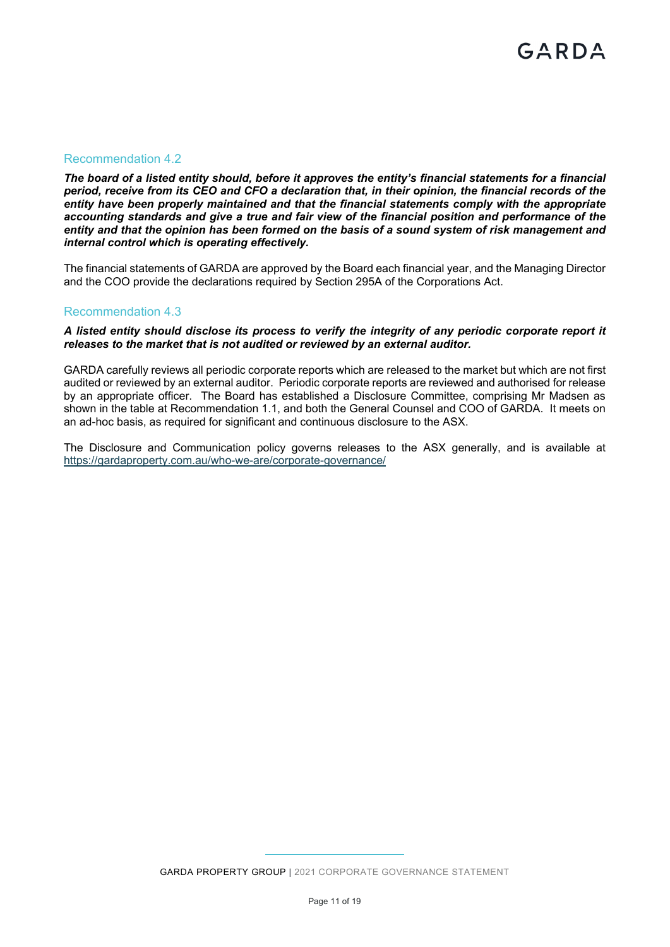# Recommendation 4.2

*The board of a listed entity should, before it approves the entity's financial statements for a financial period, receive from its CEO and CFO a declaration that, in their opinion, the financial records of the entity have been properly maintained and that the financial statements comply with the appropriate accounting standards and give a true and fair view of the financial position and performance of the entity and that the opinion has been formed on the basis of a sound system of risk management and internal control which is operating effectively.* 

The financial statements of GARDA are approved by the Board each financial year, and the Managing Director and the COO provide the declarations required by Section 295A of the Corporations Act.

# Recommendation 4.3

*A listed entity should disclose its process to verify the integrity of any periodic corporate report it releases to the market that is not audited or reviewed by an external auditor.* 

GARDA carefully reviews all periodic corporate reports which are released to the market but which are not first audited or reviewed by an external auditor. Periodic corporate reports are reviewed and authorised for release by an appropriate officer. The Board has established a Disclosure Committee, comprising Mr Madsen as shown in the table at Recommendation 1.1, and both the General Counsel and COO of GARDA. It meets on an ad-hoc basis, as required for significant and continuous disclosure to the ASX.

The Disclosure and Communication policy governs releases to the ASX generally, and is available at https://gardaproperty.com.au/who-we-are/corporate-governance/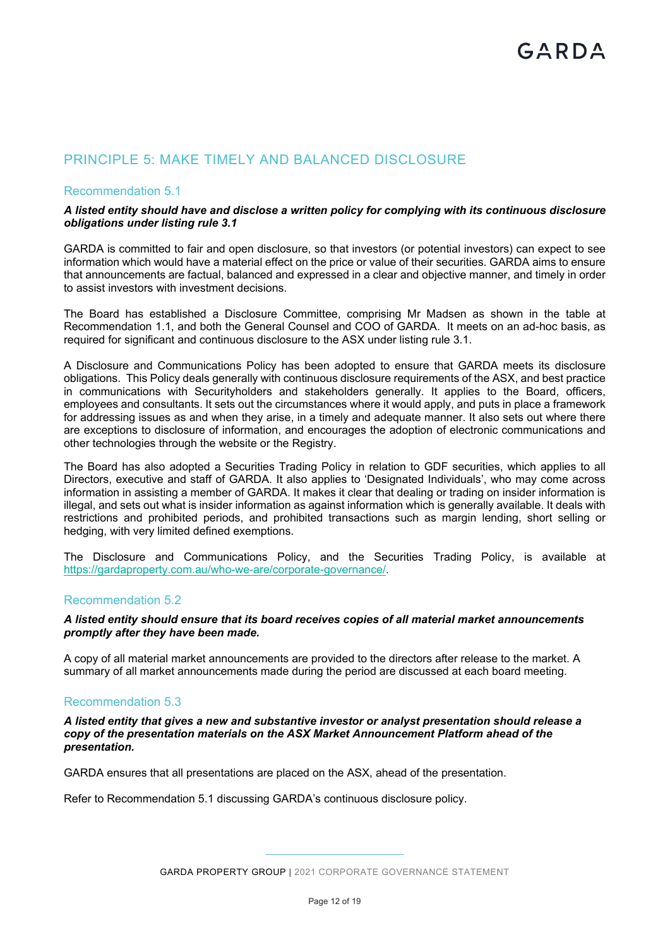# PRINCIPLE 5: MAKE TIMELY AND BALANCED DISCLOSURE

# Recommendation 5.1

#### *A listed entity should have and disclose a written policy for complying with its continuous disclosure obligations under listing rule 3.1*

GARDA is committed to fair and open disclosure, so that investors (or potential investors) can expect to see information which would have a material effect on the price or value of their securities. GARDA aims to ensure that announcements are factual, balanced and expressed in a clear and objective manner, and timely in order to assist investors with investment decisions.

The Board has established a Disclosure Committee, comprising Mr Madsen as shown in the table at Recommendation 1.1, and both the General Counsel and COO of GARDA. It meets on an ad-hoc basis, as required for significant and continuous disclosure to the ASX under listing rule 3.1.

A Disclosure and Communications Policy has been adopted to ensure that GARDA meets its disclosure obligations. This Policy deals generally with continuous disclosure requirements of the ASX, and best practice in communications with Securityholders and stakeholders generally. It applies to the Board, officers, employees and consultants. It sets out the circumstances where it would apply, and puts in place a framework for addressing issues as and when they arise, in a timely and adequate manner. It also sets out where there are exceptions to disclosure of information, and encourages the adoption of electronic communications and other technologies through the website or the Registry.

The Board has also adopted a Securities Trading Policy in relation to GDF securities, which applies to all Directors, executive and staff of GARDA. It also applies to 'Designated Individuals', who may come across information in assisting a member of GARDA. It makes it clear that dealing or trading on insider information is illegal, and sets out what is insider information as against information which is generally available. It deals with restrictions and prohibited periods, and prohibited transactions such as margin lending, short selling or hedging, with very limited defined exemptions.

The Disclosure and Communications Policy, and the Securities Trading Policy, is available at https://gardaproperty.com.au/who-we-are/corporate-governance/.

### Recommendation 5.2

#### *A listed entity should ensure that its board receives copies of all material market announcements promptly after they have been made.*

A copy of all material market announcements are provided to the directors after release to the market. A summary of all market announcements made during the period are discussed at each board meeting.

# Recommendation 5.3

*A listed entity that gives a new and substantive investor or analyst presentation should release a copy of the presentation materials on the ASX Market Announcement Platform ahead of the presentation.* 

GARDA ensures that all presentations are placed on the ASX, ahead of the presentation.

Refer to Recommendation 5.1 discussing GARDA's continuous disclosure policy.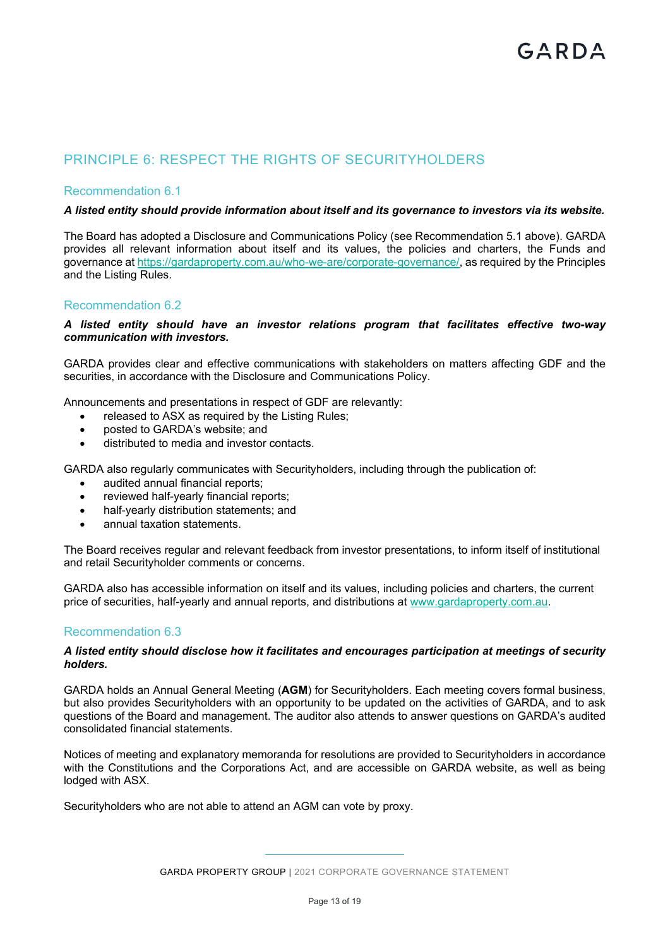# PRINCIPLE 6: RESPECT THE RIGHTS OF SECURITYHOLDERS

# Recommendation 6.1

# *A listed entity should provide information about itself and its governance to investors via its website.*

The Board has adopted a Disclosure and Communications Policy (see Recommendation 5.1 above). GARDA provides all relevant information about itself and its values, the policies and charters, the Funds and governance at https://gardaproperty.com.au/who-we-are/corporate-governance/, as required by the Principles and the Listing Rules.

# Recommendation 6.2

## *A listed entity should have an investor relations program that facilitates effective two-way communication with investors.*

GARDA provides clear and effective communications with stakeholders on matters affecting GDF and the securities, in accordance with the Disclosure and Communications Policy.

Announcements and presentations in respect of GDF are relevantly:

- released to ASX as required by the Listing Rules;
- posted to GARDA's website: and
- distributed to media and investor contacts.

GARDA also regularly communicates with Securityholders, including through the publication of:

- audited annual financial reports;
- reviewed half-yearly financial reports;
- half-yearly distribution statements; and
- annual taxation statements.

The Board receives regular and relevant feedback from investor presentations, to inform itself of institutional and retail Securityholder comments or concerns.

GARDA also has accessible information on itself and its values, including policies and charters, the current price of securities, half-yearly and annual reports, and distributions at www.gardaproperty.com.au.

# Recommendation 6.3

#### *A listed entity should disclose how it facilitates and encourages participation at meetings of security holders.*

GARDA holds an Annual General Meeting (**AGM**) for Securityholders. Each meeting covers formal business, but also provides Securityholders with an opportunity to be updated on the activities of GARDA, and to ask questions of the Board and management. The auditor also attends to answer questions on GARDA's audited consolidated financial statements.

Notices of meeting and explanatory memoranda for resolutions are provided to Securityholders in accordance with the Constitutions and the Corporations Act, and are accessible on GARDA website, as well as being lodged with ASX.

Securityholders who are not able to attend an AGM can vote by proxy.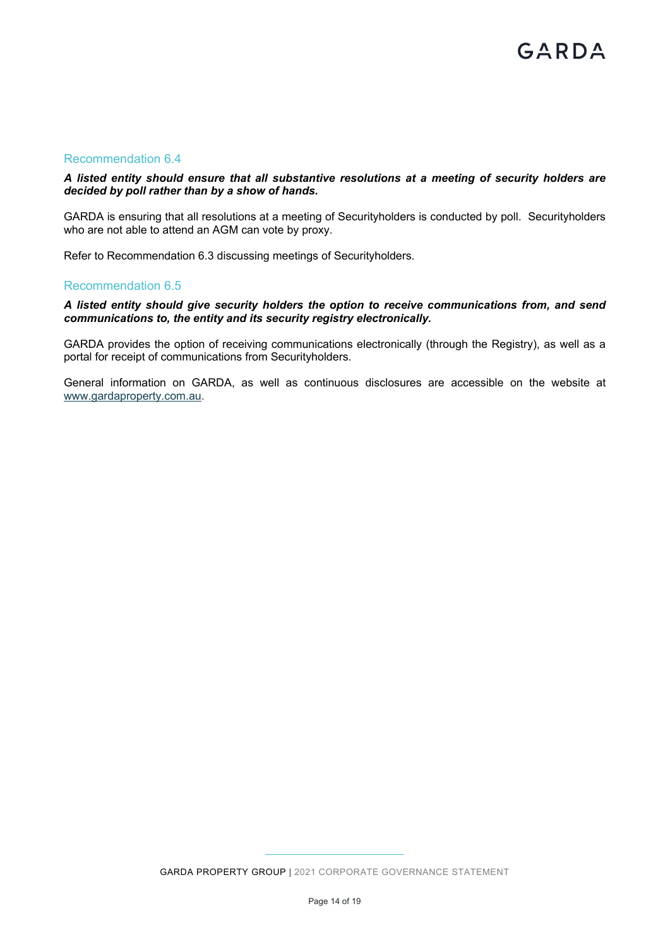# Recommendation 6.4

## *A listed entity should ensure that all substantive resolutions at a meeting of security holders are decided by poll rather than by a show of hands.*

GARDA is ensuring that all resolutions at a meeting of Securityholders is conducted by poll. Securityholders who are not able to attend an AGM can vote by proxy.

Refer to Recommendation 6.3 discussing meetings of Securityholders.

#### Recommendation 6.5

## *A listed entity should give security holders the option to receive communications from, and send communications to, the entity and its security registry electronically.*

GARDA provides the option of receiving communications electronically (through the Registry), as well as a portal for receipt of communications from Securityholders.

General information on GARDA, as well as continuous disclosures are accessible on the website at www.gardaproperty.com.au.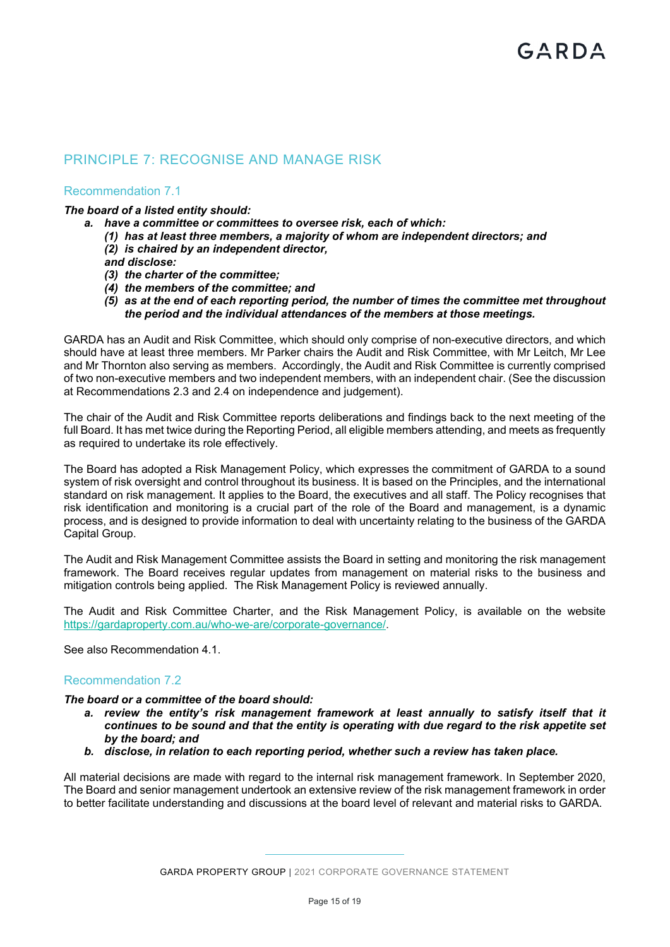# PRINCIPLE 7: RECOGNISE AND MANAGE RISK

# Recommendation 7.1

# *The board of a listed entity should:*

- *a. have a committee or committees to oversee risk, each of which:* 
	- *(1) has at least three members, a majority of whom are independent directors; and*
	- *(2) is chaired by an independent director,*
	- *and disclose:*
	- *(3) the charter of the committee;*
	- *(4) the members of the committee; and*
	- *(5) as at the end of each reporting period, the number of times the committee met throughout the period and the individual attendances of the members at those meetings.*

GARDA has an Audit and Risk Committee, which should only comprise of non-executive directors, and which should have at least three members. Mr Parker chairs the Audit and Risk Committee, with Mr Leitch, Mr Lee and Mr Thornton also serving as members. Accordingly, the Audit and Risk Committee is currently comprised of two non-executive members and two independent members, with an independent chair. (See the discussion at Recommendations 2.3 and 2.4 on independence and judgement).

The chair of the Audit and Risk Committee reports deliberations and findings back to the next meeting of the full Board. It has met twice during the Reporting Period, all eligible members attending, and meets as frequently as required to undertake its role effectively.

The Board has adopted a Risk Management Policy, which expresses the commitment of GARDA to a sound system of risk oversight and control throughout its business. It is based on the Principles, and the international standard on risk management. It applies to the Board, the executives and all staff. The Policy recognises that risk identification and monitoring is a crucial part of the role of the Board and management, is a dynamic process, and is designed to provide information to deal with uncertainty relating to the business of the GARDA Capital Group.

The Audit and Risk Management Committee assists the Board in setting and monitoring the risk management framework. The Board receives regular updates from management on material risks to the business and mitigation controls being applied. The Risk Management Policy is reviewed annually.

The Audit and Risk Committee Charter, and the Risk Management Policy, is available on the website https://gardaproperty.com.au/who-we-are/corporate-governance/.

See also Recommendation 4.1.

# Recommendation 7.2

#### *The board or a committee of the board should:*

- *a. review the entity's risk management framework at least annually to satisfy itself that it continues to be sound and that the entity is operating with due regard to the risk appetite set by the board; and*
- *b. disclose, in relation to each reporting period, whether such a review has taken place.*

All material decisions are made with regard to the internal risk management framework. In September 2020, The Board and senior management undertook an extensive review of the risk management framework in order to better facilitate understanding and discussions at the board level of relevant and material risks to GARDA.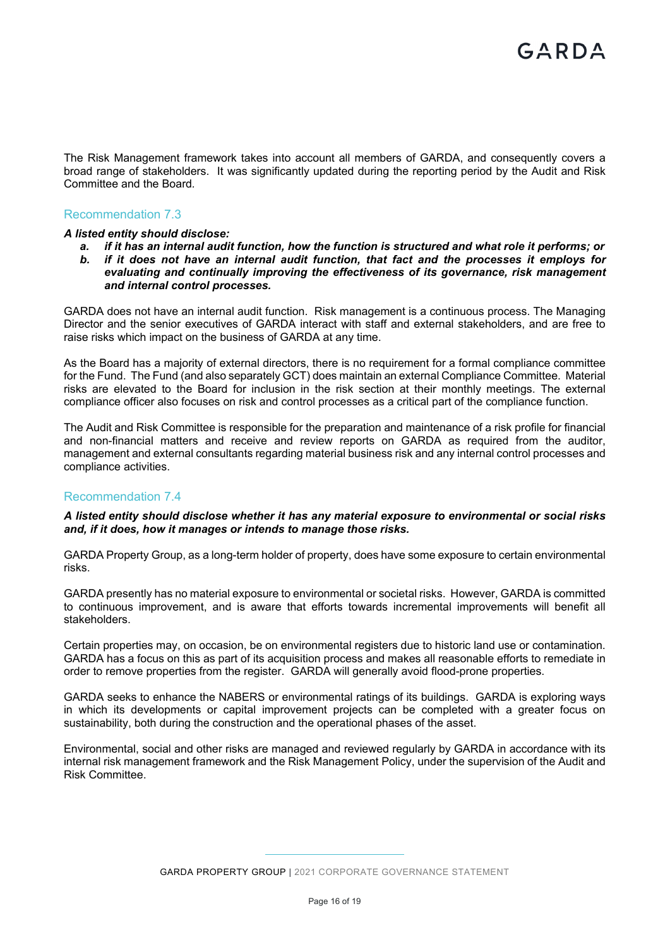The Risk Management framework takes into account all members of GARDA, and consequently covers a broad range of stakeholders. It was significantly updated during the reporting period by the Audit and Risk Committee and the Board*.*

# Recommendation 7.3

#### *A listed entity should disclose:*

- *a. if it has an internal audit function, how the function is structured and what role it performs; or*
- *b. if it does not have an internal audit function, that fact and the processes it employs for evaluating and continually improving the effectiveness of its governance, risk management and internal control processes.*

GARDA does not have an internal audit function. Risk management is a continuous process. The Managing Director and the senior executives of GARDA interact with staff and external stakeholders, and are free to raise risks which impact on the business of GARDA at any time.

As the Board has a majority of external directors, there is no requirement for a formal compliance committee for the Fund. The Fund (and also separately GCT) does maintain an external Compliance Committee. Material risks are elevated to the Board for inclusion in the risk section at their monthly meetings. The external compliance officer also focuses on risk and control processes as a critical part of the compliance function.

The Audit and Risk Committee is responsible for the preparation and maintenance of a risk profile for financial and non-financial matters and receive and review reports on GARDA as required from the auditor, management and external consultants regarding material business risk and any internal control processes and compliance activities.

#### Recommendation 7.4

#### *A listed entity should disclose whether it has any material exposure to environmental or social risks and, if it does, how it manages or intends to manage those risks.*

GARDA Property Group, as a long-term holder of property, does have some exposure to certain environmental risks.

GARDA presently has no material exposure to environmental or societal risks. However, GARDA is committed to continuous improvement, and is aware that efforts towards incremental improvements will benefit all stakeholders.

Certain properties may, on occasion, be on environmental registers due to historic land use or contamination. GARDA has a focus on this as part of its acquisition process and makes all reasonable efforts to remediate in order to remove properties from the register. GARDA will generally avoid flood-prone properties.

GARDA seeks to enhance the NABERS or environmental ratings of its buildings. GARDA is exploring ways in which its developments or capital improvement projects can be completed with a greater focus on sustainability, both during the construction and the operational phases of the asset.

Environmental, social and other risks are managed and reviewed regularly by GARDA in accordance with its internal risk management framework and the Risk Management Policy, under the supervision of the Audit and Risk Committee.

GARDA PROPERTY GROUP | 2021 CORPORATE GOVERNANCE STATEMENT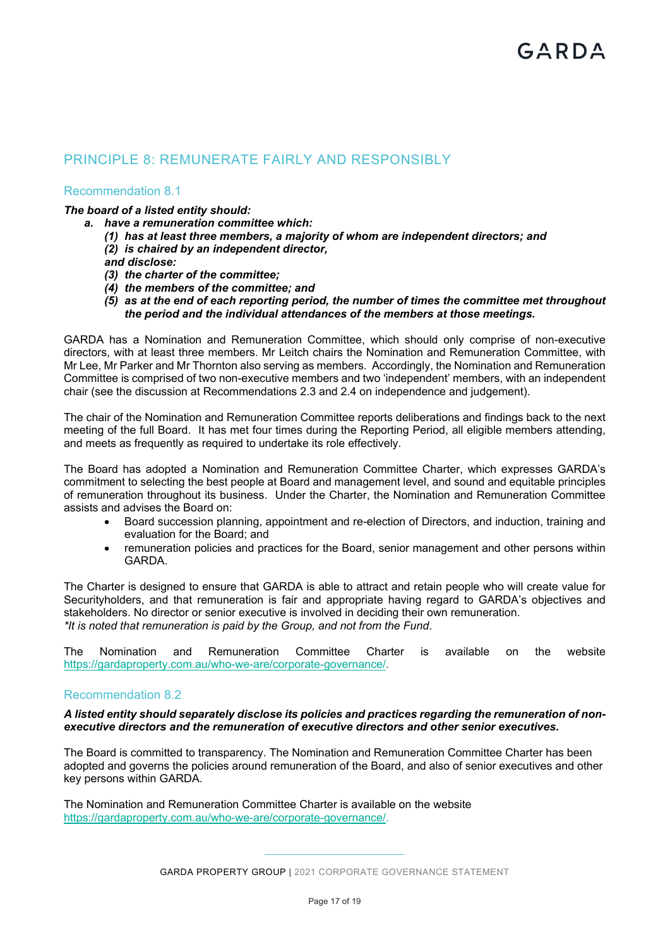# PRINCIPLE 8: REMUNERATE FAIRLY AND RESPONSIBLY

# Recommendation 8.1

# *The board of a listed entity should:*

- *a. have a remuneration committee which:* 
	- *(1) has at least three members, a majority of whom are independent directors; and*
	- *(2) is chaired by an independent director,*

*and disclose:* 

- *(3) the charter of the committee;*
- *(4) the members of the committee; and*
- *(5) as at the end of each reporting period, the number of times the committee met throughout the period and the individual attendances of the members at those meetings.*

GARDA has a Nomination and Remuneration Committee, which should only comprise of non-executive directors, with at least three members. Mr Leitch chairs the Nomination and Remuneration Committee, with Mr Lee, Mr Parker and Mr Thornton also serving as members. Accordingly, the Nomination and Remuneration Committee is comprised of two non-executive members and two 'independent' members, with an independent chair (see the discussion at Recommendations 2.3 and 2.4 on independence and judgement).

The chair of the Nomination and Remuneration Committee reports deliberations and findings back to the next meeting of the full Board. It has met four times during the Reporting Period, all eligible members attending, and meets as frequently as required to undertake its role effectively.

The Board has adopted a Nomination and Remuneration Committee Charter, which expresses GARDA's commitment to selecting the best people at Board and management level, and sound and equitable principles of remuneration throughout its business. Under the Charter, the Nomination and Remuneration Committee assists and advises the Board on:

- Board succession planning, appointment and re-election of Directors, and induction, training and evaluation for the Board; and
- remuneration policies and practices for the Board, senior management and other persons within GARDA.

The Charter is designed to ensure that GARDA is able to attract and retain people who will create value for Securityholders, and that remuneration is fair and appropriate having regard to GARDA's objectives and stakeholders. No director or senior executive is involved in deciding their own remuneration. *\*It is noted that remuneration is paid by the Group, and not from the Fund*.

The Nomination and Remuneration Committee Charter is available on the website https://gardaproperty.com.au/who-we-are/corporate-governance/.

# Recommendation 8.2

*A listed entity should separately disclose its policies and practices regarding the remuneration of nonexecutive directors and the remuneration of executive directors and other senior executives.* 

The Board is committed to transparency. The Nomination and Remuneration Committee Charter has been adopted and governs the policies around remuneration of the Board, and also of senior executives and other key persons within GARDA.

The Nomination and Remuneration Committee Charter is available on the website https://gardaproperty.com.au/who-we-are/corporate-governance/.

GARDA PROPERTY GROUP | 2021 CORPORATE GOVERNANCE STATEMENT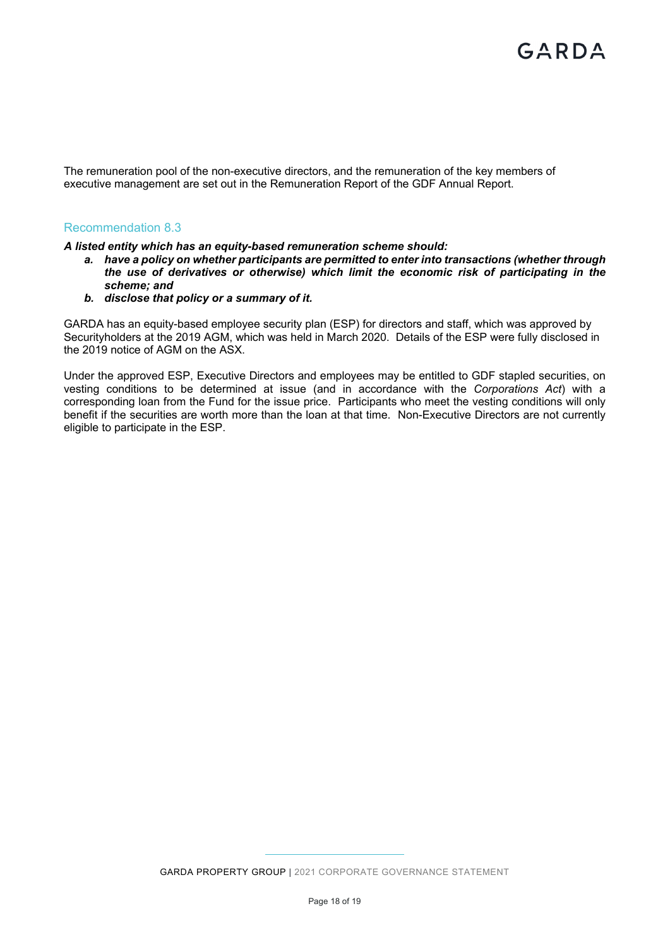The remuneration pool of the non-executive directors, and the remuneration of the key members of executive management are set out in the Remuneration Report of the GDF Annual Report.

# Recommendation 8.3

#### *A listed entity which has an equity-based remuneration scheme should:*

- *a. have a policy on whether participants are permitted to enter into transactions (whether through the use of derivatives or otherwise) which limit the economic risk of participating in the scheme; and*
- *b. disclose that policy or a summary of it.*

GARDA has an equity-based employee security plan (ESP) for directors and staff, which was approved by Securityholders at the 2019 AGM, which was held in March 2020. Details of the ESP were fully disclosed in the 2019 notice of AGM on the ASX.

Under the approved ESP, Executive Directors and employees may be entitled to GDF stapled securities, on vesting conditions to be determined at issue (and in accordance with the *Corporations Act*) with a corresponding loan from the Fund for the issue price. Participants who meet the vesting conditions will only benefit if the securities are worth more than the loan at that time. Non-Executive Directors are not currently eligible to participate in the ESP.